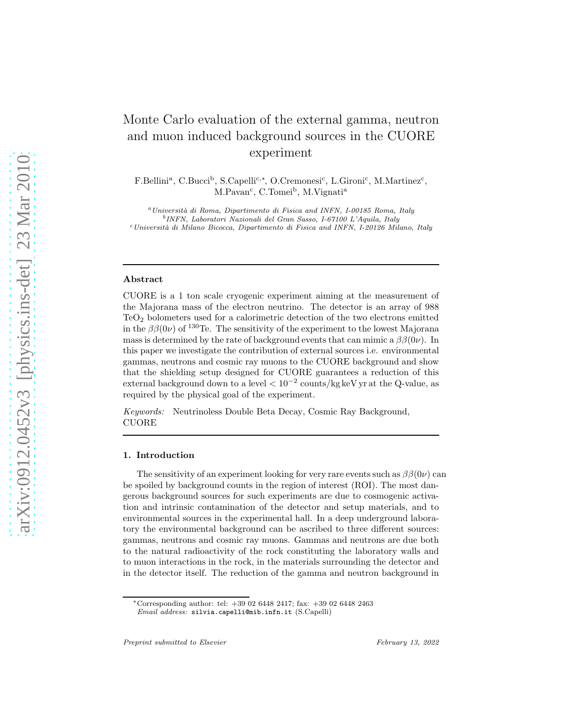# Monte Carlo evaluation of the external gamma, neutron and muon induced background sources in the CUORE experiment

F.Bellini<sup>a</sup>, C.Bucci<sup>b</sup>, S.Capelli<sup>c,\*</sup>, O.Cremonesi<sup>c</sup>, L.Gironi<sup>c</sup>, M.Martinez<sup>c</sup>, M.Pavan<sup>c</sup>, C.Tomei<sup>b</sup>, M.Vignati<sup>a</sup>

 $^{a}$ Università di Roma, Dipartimento di Fisica and INFN, I-00185 Roma, Italy b INFN, Laboratori Nazionali del Gran Sasso, I-67100 L'Aquila, Italy  $c$ Università di Milano Bicocca, Dipartimento di Fisica and INFN, I-20126 Milano, Italy

#### Abstract

CUORE is a 1 ton scale cryogenic experiment aiming at the measurement of the Majorana mass of the electron neutrino. The detector is an array of 988 TeO<sup>2</sup> bolometers used for a calorimetric detection of the two electrons emitted in the  $\beta\beta(0\nu)$  of <sup>130</sup>Te. The sensitivity of the experiment to the lowest Majorana mass is determined by the rate of background events that can mimic a  $\beta\beta(0\nu)$ . In this paper we investigate the contribution of external sources i.e. environmental gammas, neutrons and cosmic ray muons to the CUORE background and show that the shielding setup designed for CUORE guarantees a reduction of this external background down to a level < 10<sup>−</sup><sup>2</sup> counts/kg keV yr at the Q-value, as required by the physical goal of the experiment.

*Keywords:* Neutrinoless Double Beta Decay, Cosmic Ray Background, CUORE

#### 1. Introduction

The sensitivity of an experiment looking for very rare events such as  $\beta\beta(0\nu)$  can be spoiled by background counts in the region of interest (ROI). The most dangerous background sources for such experiments are due to cosmogenic activation and intrinsic contamination of the detector and setup materials, and to environmental sources in the experimental hall. In a deep underground laboratory the environmental background can be ascribed to three different sources: gammas, neutrons and cosmic ray muons. Gammas and neutrons are due both to the natural radioactivity of the rock constituting the laboratory walls and to muon interactions in the rock, in the materials surrounding the detector and in the detector itself. The reduction of the gamma and neutron background in

<sup>∗</sup>Corresponding author: tel: +39 02 6448 2417; fax: +39 02 6448 2463

Email address: silvia.capelli@mib.infn.it (S.Capelli)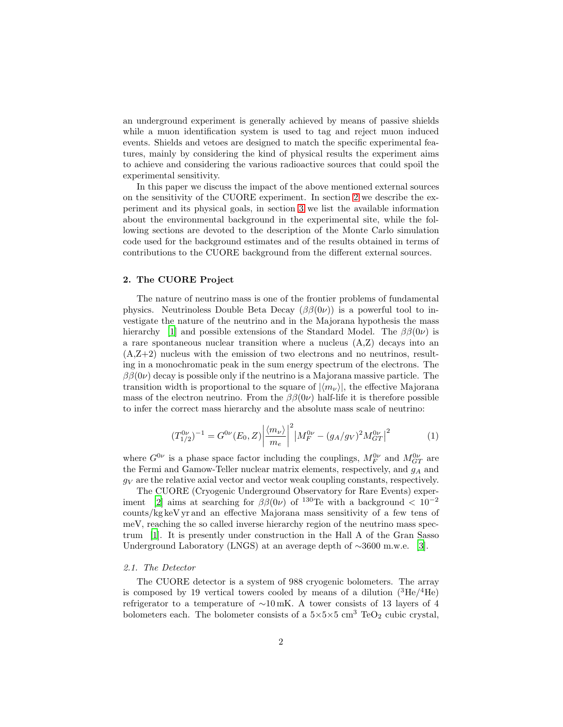an underground experiment is generally achieved by means of passive shields while a muon identification system is used to tag and reject muon induced events. Shields and vetoes are designed to match the specific experimental features, mainly by considering the kind of physical results the experiment aims to achieve and considering the various radioactive sources that could spoil the experimental sensitivity.

In this paper we discuss the impact of the above mentioned external sources on the sensitivity of the CUORE experiment. In section [2](#page-1-0) we describe the experiment and its physical goals, in section [3](#page-4-0) we list the available information about the environmental background in the experimental site, while the following sections are devoted to the description of the Monte Carlo simulation code used for the background estimates and of the results obtained in terms of contributions to the CUORE background from the different external sources.

# <span id="page-1-0"></span>2. The CUORE Project

The nature of neutrino mass is one of the frontier problems of fundamental physics. Neutrinoless Double Beta Decay  $(\beta \beta(0\nu))$  is a powerful tool to investigate the nature of the neutrino and in the Majorana hypothesis the mass hierarchy [\[1\]](#page-14-0) and possible extensions of the Standard Model. The  $\beta\beta(0\nu)$  is a rare spontaneous nuclear transition where a nucleus  $(A,Z)$  decays into an  $(A,Z+2)$  nucleus with the emission of two electrons and no neutrinos, resulting in a monochromatic peak in the sum energy spectrum of the electrons. The  $\beta\beta(0\nu)$  decay is possible only if the neutrino is a Majorana massive particle. The transition width is proportional to the square of  $|\langle m_{\nu} \rangle|$ , the effective Majorana mass of the electron neutrino. From the  $\beta\beta(0\nu)$  half-life it is therefore possible to infer the correct mass hierarchy and the absolute mass scale of neutrino:

$$
(T_{1/2}^{0\nu})^{-1} = G^{0\nu}(E_0, Z) \left| \frac{\langle m_{\nu} \rangle}{m_e} \right|^2 \left| M_F^{0\nu} - (g_A/g_V)^2 M_{GT}^{0\nu} \right|^2 \tag{1}
$$

where  $G^{0\nu}$  is a phase space factor including the couplings,  $M_F^{0\nu}$  and  $M_{GT}^{0\nu}$  are the Fermi and Gamow-Teller nuclear matrix elements, respectively, and  $g_A$  and  $g_V$  are the relative axial vector and vector weak coupling constants, respectively.

The CUORE (Cryogenic Underground Observatory for Rare Events) exper-iment [\[2](#page-14-1)] aims at searching for  $\beta\beta(0\nu)$  of <sup>130</sup>Te with a background < 10<sup>-2</sup> counts/kg keV yr and an effective Majorana mass sensitivity of a few tens of meV, reaching the so called inverse hierarchy region of the neutrino mass spectrum [\[1](#page-14-0)]. It is presently under construction in the Hall A of the Gran Sasso Underground Laboratory (LNGS) at an average depth of ∼3600 m.w.e. [\[3\]](#page-14-2).

## <span id="page-1-1"></span>*2.1. The Detector*

The CUORE detector is a system of 988 cryogenic bolometers. The array is composed by 19 vertical towers cooled by means of a dilution  $({}^{3}\text{He}/^{4}\text{He})$ refrigerator to a temperature of ∼10 mK. A tower consists of 13 layers of 4 bolometers each. The bolometer consists of a  $5\times5\times5$  cm<sup>3</sup> TeO<sub>2</sub> cubic crystal,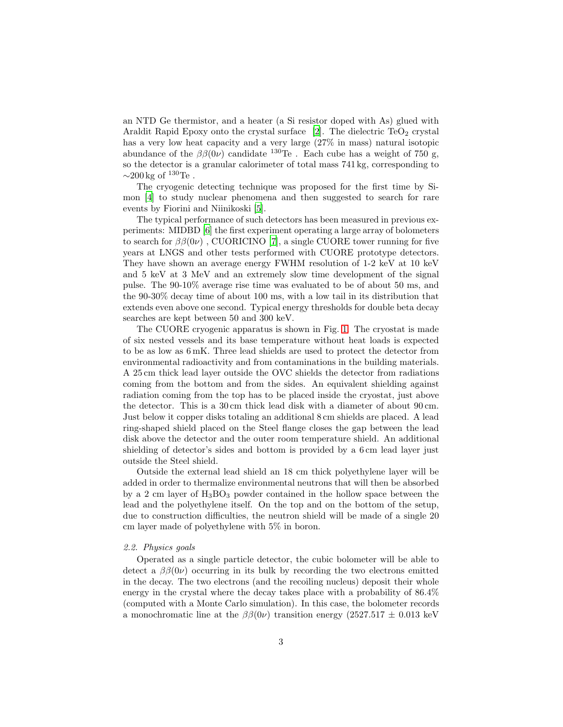an NTD Ge thermistor, and a heater (a Si resistor doped with As) glued with Araldit Rapid Epoxy onto the crystal surface  $[2]$ . The dielectric TeO<sub>2</sub> crystal has a very low heat capacity and a very large (27% in mass) natural isotopic abundance of the  $\beta\beta(0\nu)$  candidate <sup>130</sup>Te. Each cube has a weight of 750 g, so the detector is a granular calorimeter of total mass 741 kg, corresponding to  $\sim$ 200 kg of  $130$ Te.

The cryogenic detecting technique was proposed for the first time by Simon [\[4](#page-14-3)] to study nuclear phenomena and then suggested to search for rare events by Fiorini and Niinikoski [\[5](#page-14-4)].

The typical performance of such detectors has been measured in previous experiments: MIDBD [\[6](#page-14-5)] the first experiment operating a large array of bolometers to search for  $\beta\beta(0\nu)$ , CUORICINO [\[7](#page-14-6)], a single CUORE tower running for five years at LNGS and other tests performed with CUORE prototype detectors. They have shown an average energy FWHM resolution of 1-2 keV at 10 keV and 5 keV at 3 MeV and an extremely slow time development of the signal pulse. The 90-10% average rise time was evaluated to be of about 50 ms, and the 90-30% decay time of about 100 ms, with a low tail in its distribution that extends even above one second. Typical energy thresholds for double beta decay searches are kept between 50 and 300 keV.

The CUORE cryogenic apparatus is shown in Fig. [1.](#page-3-0) The cryostat is made of six nested vessels and its base temperature without heat loads is expected to be as low as 6 mK. Three lead shields are used to protect the detector from environmental radioactivity and from contaminations in the building materials. A 25 cm thick lead layer outside the OVC shields the detector from radiations coming from the bottom and from the sides. An equivalent shielding against radiation coming from the top has to be placed inside the cryostat, just above the detector. This is a 30 cm thick lead disk with a diameter of about 90 cm. Just below it copper disks totaling an additional 8 cm shields are placed. A lead ring-shaped shield placed on the Steel flange closes the gap between the lead disk above the detector and the outer room temperature shield. An additional shielding of detector's sides and bottom is provided by a 6 cm lead layer just outside the Steel shield.

Outside the external lead shield an 18 cm thick polyethylene layer will be added in order to thermalize environmental neutrons that will then be absorbed by a 2 cm layer of  $H_3BO_3$  powder contained in the hollow space between the lead and the polyethylene itself. On the top and on the bottom of the setup, due to construction difficulties, the neutron shield will be made of a single 20 cm layer made of polyethylene with 5% in boron.

#### *2.2. Physics goals*

Operated as a single particle detector, the cubic bolometer will be able to detect a  $\beta\beta(0\nu)$  occurring in its bulk by recording the two electrons emitted in the decay. The two electrons (and the recoiling nucleus) deposit their whole energy in the crystal where the decay takes place with a probability of 86.4% (computed with a Monte Carlo simulation). In this case, the bolometer records a monochromatic line at the  $\beta\beta(0\nu)$  transition energy (2527.517  $\pm$  0.013 keV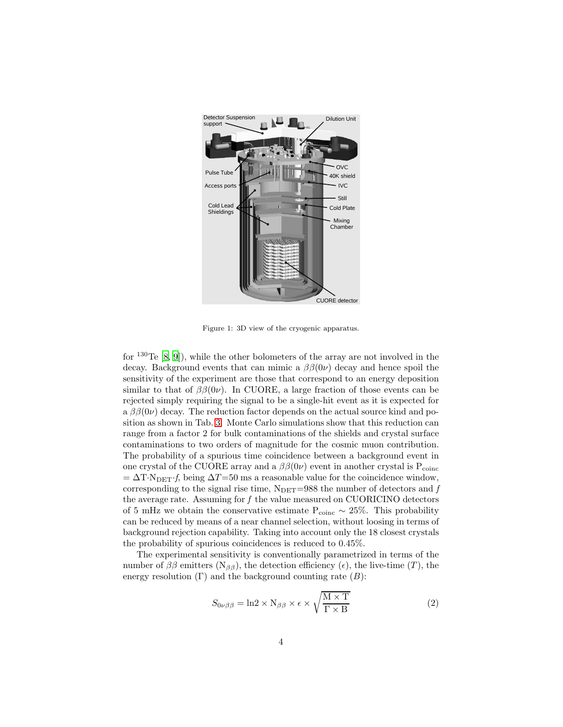

Figure 1: 3D view of the cryogenic apparatus.

<span id="page-3-0"></span>for  $130$ Te  $[8, 9]$  $[8, 9]$ , while the other bolometers of the array are not involved in the decay. Background events that can mimic a  $\beta\beta(0\nu)$  decay and hence spoil the sensitivity of the experiment are those that correspond to an energy deposition similar to that of  $\beta\beta(0\nu)$ . In CUORE, a large fraction of those events can be rejected simply requiring the signal to be a single-hit event as it is expected for a  $\beta\beta(0\nu)$  decay. The reduction factor depends on the actual source kind and position as shown in Tab. [3.](#page-12-0) Monte Carlo simulations show that this reduction can range from a factor 2 for bulk contaminations of the shields and crystal surface contaminations to two orders of magnitude for the cosmic muon contribution. The probability of a spurious time coincidence between a background event in one crystal of the CUORE array and a  $\beta\beta(0\nu)$  event in another crystal is  $P_{\text{coinc}}$  $=\Delta T \cdot N_{\text{DET}} f$ , being  $\Delta T = 50$  ms a reasonable value for the coincidence window, corresponding to the signal rise time,  $N<sub>DET</sub>=988$  the number of detectors and  $f$ the average rate. Assuming for *f* the value measured on CUORICINO detectors of 5 mHz we obtain the conservative estimate  $P_{\text{coinc}} \sim 25\%$ . This probability can be reduced by means of a near channel selection, without loosing in terms of background rejection capability. Taking into account only the 18 closest crystals the probability of spurious coincidences is reduced to 0.45%.

The experimental sensitivity is conventionally parametrized in terms of the number of  $\beta\beta$  emitters (N<sub>ββ</sub>), the detection efficiency ( $\epsilon$ ), the live-time (T), the energy resolution  $(Γ)$  and the background counting rate  $(B)$ :

$$
S_{0\nu\beta\beta} = \ln 2 \times N_{\beta\beta} \times \epsilon \times \sqrt{\frac{M \times T}{\Gamma \times B}}
$$
 (2)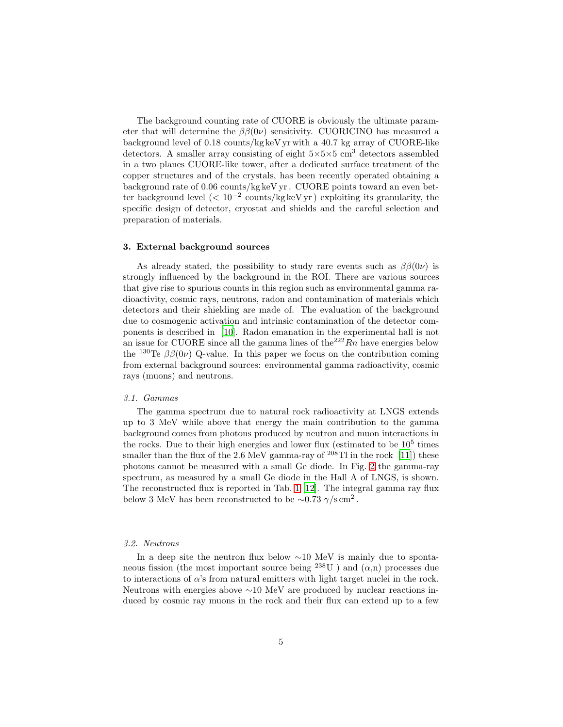The background counting rate of CUORE is obviously the ultimate parameter that will determine the  $\beta\beta(0\nu)$  sensitivity. CUORICINO has measured a background level of 0.18 counts/kg keV yr with a 40.7 kg array of CUORE-like detectors. A smaller array consisting of eight  $5\times5\times5$  cm<sup>3</sup> detectors assembled in a two planes CUORE-like tower, after a dedicated surface treatment of the copper structures and of the crystals, has been recently operated obtaining a background rate of 0.06 counts/kg keV yr . CUORE points toward an even better background level (< 10−<sup>2</sup> counts/kg keV yr ) exploiting its granularity, the specific design of detector, cryostat and shields and the careful selection and preparation of materials.

#### <span id="page-4-0"></span>3. External background sources

As already stated, the possibility to study rare events such as  $\beta\beta(0\nu)$  is strongly influenced by the background in the ROI. There are various sources that give rise to spurious counts in this region such as environmental gamma radioactivity, cosmic rays, neutrons, radon and contamination of materials which detectors and their shielding are made of. The evaluation of the background due to cosmogenic activation and intrinsic contamination of the detector components is described in [\[10\]](#page-14-9). Radon emanation in the experimental hall is not an issue for CUORE since all the gamma lines of the<sup>222</sup> $Rn$  have energies below the <sup>130</sup>Te  $\beta\beta(0\nu)$  Q-value. In this paper we focus on the contribution coming from external background sources: environmental gamma radioactivity, cosmic rays (muons) and neutrons.

# <span id="page-4-1"></span>*3.1. Gammas*

The gamma spectrum due to natural rock radioactivity at LNGS extends up to 3 MeV while above that energy the main contribution to the gamma background comes from photons produced by neutron and muon interactions in the rocks. Due to their high energies and lower flux (estimated to be  $10^5$  times smaller than the flux of the 2.6 MeV gamma-ray of  $208$ Tl in the rock [\[11\]](#page-14-10)) these photons cannot be measured with a small Ge diode. In Fig. [2](#page-5-0) the gamma-ray spectrum, as measured by a small Ge diode in the Hall A of LNGS, is shown. The reconstructed flux is reported in Tab. [1](#page-5-1) [\[12](#page-14-11)]. The integral gamma ray flux below 3 MeV has been reconstructed to be  $\sim 0.73 \gamma / s \text{ cm}^2$ .

#### *3.2. Neutrons*

In a deep site the neutron flux below ∼10 MeV is mainly due to spontaneous fission (the most important source being  $^{238}$ U) and  $(\alpha,n)$  processes due to interactions of  $\alpha$ 's from natural emitters with light target nuclei in the rock. Neutrons with energies above ∼10 MeV are produced by nuclear reactions induced by cosmic ray muons in the rock and their flux can extend up to a few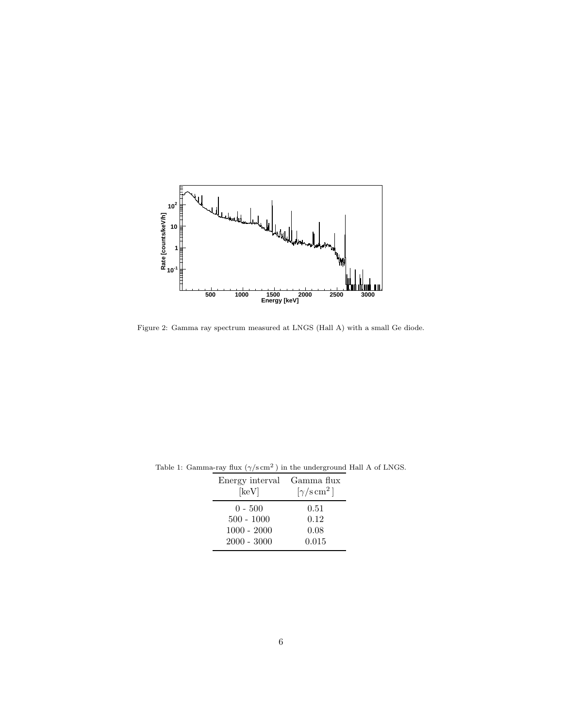

<span id="page-5-0"></span>Figure 2: Gamma ray spectrum measured at LNGS (Hall A) with a small Ge diode.

<span id="page-5-1"></span>

| Energy interval<br>$[\text{keV}]$ | Gamma flux<br>$[\gamma/\text{s}\,\text{cm}^2]$ |
|-----------------------------------|------------------------------------------------|
| $0 - 500$                         | 0.51                                           |
| $500 - 1000$                      | 0.12                                           |
| $1000 - 2000$                     | 0.08                                           |
| $2000 - 3000$                     | 0.015                                          |

Table 1: Gamma-ray flux  $(\gamma/\text{s cm}^2)$  in the underground Hall A of LNGS.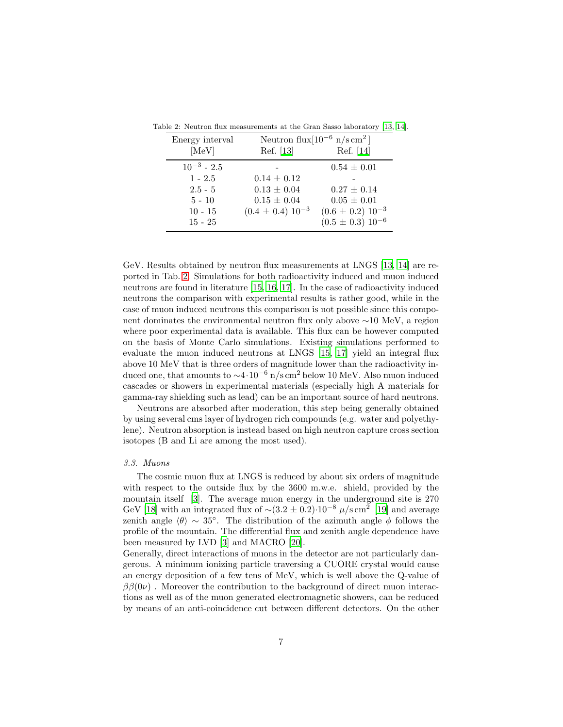<span id="page-6-0"></span>

| Energy interval<br>[MeV] | Ref. [13]               | Neutron flux $[10^{-6}$ n/s cm <sup>2</sup> ]<br>Ref. [14] |
|--------------------------|-------------------------|------------------------------------------------------------|
| $10^{-3}$ - 2.5          |                         | $0.54 \pm 0.01$                                            |
| $1 - 2.5$                | $0.14 \pm 0.12$         |                                                            |
| $2.5 - 5$                | $0.13 \pm 0.04$         | $0.27 \pm 0.14$                                            |
| $5 - 10$                 | $0.15 \pm 0.04$         | $0.05 \pm 0.01$                                            |
| $10 - 15$                | $(0.4 \pm 0.4) 10^{-3}$ | $(0.6 \pm 0.2) 10^{-3}$                                    |
| $15 - 25$                |                         | $(0.5 \pm 0.3) 10^{-6}$                                    |

Table 2: Neutron flux measurements at the Gran Sasso laboratory [\[13](#page-14-12), [14](#page-14-13)].

GeV. Results obtained by neutron flux measurements at LNGS [\[13,](#page-14-12) [14\]](#page-14-13) are reported in Tab. [2.](#page-6-0) Simulations for both radioactivity induced and muon induced neutrons are found in literature [\[15,](#page-14-14) [16,](#page-14-15) [17](#page-14-16)]. In the case of radioactivity induced neutrons the comparison with experimental results is rather good, while in the case of muon induced neutrons this comparison is not possible since this component dominates the environmental neutron flux only above ∼10 MeV, a region where poor experimental data is available. This flux can be however computed on the basis of Monte Carlo simulations. Existing simulations performed to evaluate the muon induced neutrons at LNGS [\[15,](#page-14-14) [17](#page-14-16)] yield an integral flux above 10 MeV that is three orders of magnitude lower than the radioactivity induced one, that amounts to  $\sim$ 4·10<sup>-6</sup> n/s cm<sup>2</sup> below 10 MeV. Also muon induced cascades or showers in experimental materials (especially high A materials for gamma-ray shielding such as lead) can be an important source of hard neutrons.

Neutrons are absorbed after moderation, this step being generally obtained by using several cms layer of hydrogen rich compounds (e.g. water and polyethylene). Neutron absorption is instead based on high neutron capture cross section isotopes (B and Li are among the most used).

# <span id="page-6-1"></span>*3.3. Muons*

The cosmic muon flux at LNGS is reduced by about six orders of magnitude with respect to the outside flux by the 3600 m.w.e. shield, provided by the mountain itself [\[3](#page-14-2)]. The average muon energy in the underground site is 270 GeV [\[18](#page-14-17)] with an integrated flux of  $\sim (3.2 \pm 0.2) \cdot 10^{-8} \mu/\text{s cm}^2$  [\[19](#page-14-18)] and average zenith angle  $\langle \theta \rangle \sim 35^\circ$ . The distribution of the azimuth angle  $\phi$  follows the profile of the mountain. The differential flux and zenith angle dependence have been measured by LVD [\[3\]](#page-14-2) and MACRO [\[20\]](#page-14-19).

Generally, direct interactions of muons in the detector are not particularly dangerous. A minimum ionizing particle traversing a CUORE crystal would cause an energy deposition of a few tens of MeV, which is well above the Q-value of  $\beta\beta(0\nu)$ . Moreover the contribution to the background of direct muon interactions as well as of the muon generated electromagnetic showers, can be reduced by means of an anti-coincidence cut between different detectors. On the other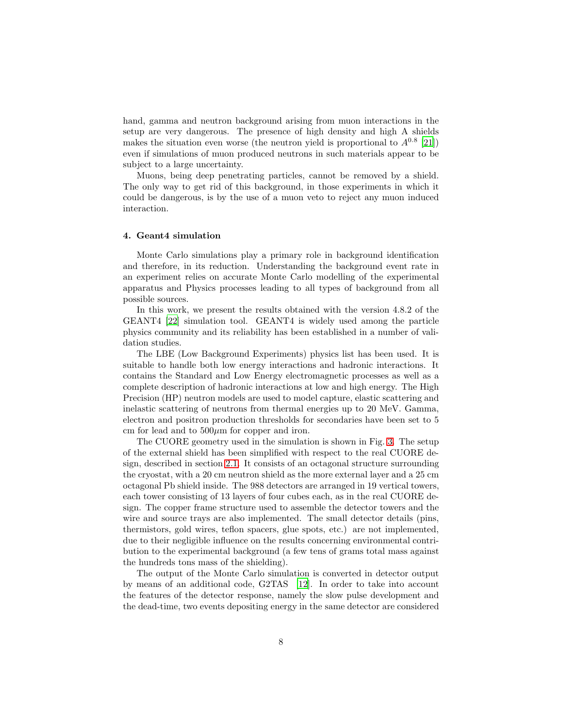hand, gamma and neutron background arising from muon interactions in the setup are very dangerous. The presence of high density and high A shields makes the situation even worse (the neutron yield is proportional to  $A^{0.8}$  [\[21\]](#page-14-20)) even if simulations of muon produced neutrons in such materials appear to be subject to a large uncertainty.

Muons, being deep penetrating particles, cannot be removed by a shield. The only way to get rid of this background, in those experiments in which it could be dangerous, is by the use of a muon veto to reject any muon induced interaction.

# 4. Geant4 simulation

Monte Carlo simulations play a primary role in background identification and therefore, in its reduction. Understanding the background event rate in an experiment relies on accurate Monte Carlo modelling of the experimental apparatus and Physics processes leading to all types of background from all possible sources.

In this work, we present the results obtained with the version 4.8.2 of the GEANT4 [\[22\]](#page-14-21) simulation tool. GEANT4 is widely used among the particle physics community and its reliability has been established in a number of validation studies.

The LBE (Low Background Experiments) physics list has been used. It is suitable to handle both low energy interactions and hadronic interactions. It contains the Standard and Low Energy electromagnetic processes as well as a complete description of hadronic interactions at low and high energy. The High Precision (HP) neutron models are used to model capture, elastic scattering and inelastic scattering of neutrons from thermal energies up to 20 MeV. Gamma, electron and positron production thresholds for secondaries have been set to 5 cm for lead and to  $500\mu m$  for copper and iron.

The CUORE geometry used in the simulation is shown in Fig. [3.](#page-8-0) The setup of the external shield has been simplified with respect to the real CUORE design, described in section [2.1.](#page-1-1) It consists of an octagonal structure surrounding the cryostat, with a 20 cm neutron shield as the more external layer and a 25 cm octagonal Pb shield inside. The 988 detectors are arranged in 19 vertical towers, each tower consisting of 13 layers of four cubes each, as in the real CUORE design. The copper frame structure used to assemble the detector towers and the wire and source trays are also implemented. The small detector details (pins, thermistors, gold wires, teflon spacers, glue spots, etc.) are not implemented, due to their negligible influence on the results concerning environmental contribution to the experimental background (a few tens of grams total mass against the hundreds tons mass of the shielding).

The output of the Monte Carlo simulation is converted in detector output by means of an additional code, G2TAS [\[12\]](#page-14-11). In order to take into account the features of the detector response, namely the slow pulse development and the dead-time, two events depositing energy in the same detector are considered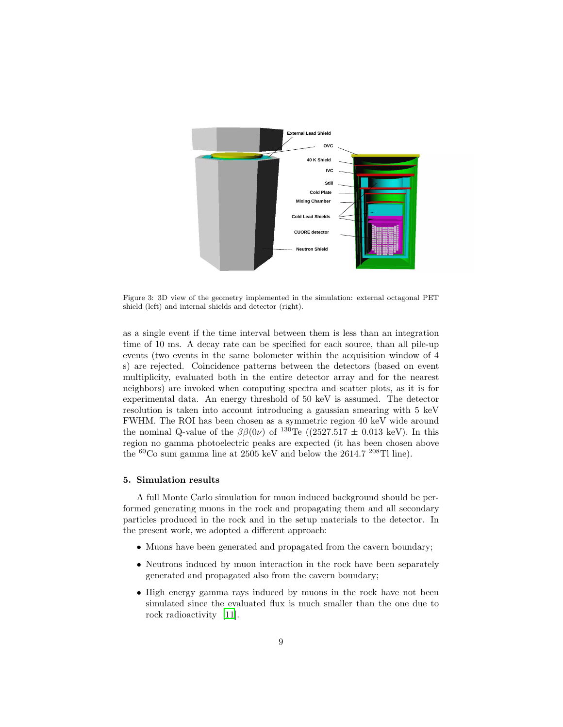

<span id="page-8-0"></span>Figure 3: 3D view of the geometry implemented in the simulation: external octagonal PET shield (left) and internal shields and detector (right).

as a single event if the time interval between them is less than an integration time of 10 ms. A decay rate can be specified for each source, than all pile-up events (two events in the same bolometer within the acquisition window of 4 s) are rejected. Coincidence patterns between the detectors (based on event multiplicity, evaluated both in the entire detector array and for the nearest neighbors) are invoked when computing spectra and scatter plots, as it is for experimental data. An energy threshold of 50 keV is assumed. The detector resolution is taken into account introducing a gaussian smearing with 5 keV FWHM. The ROI has been chosen as a symmetric region 40 keV wide around the nominal Q-value of the  $\beta\beta(0\nu)$  of <sup>130</sup>Te ((2527.517  $\pm$  0.013 keV). In this region no gamma photoelectric peaks are expected (it has been chosen above the <sup>60</sup>Co sum gamma line at 2505 keV and below the 2614.7 <sup>208</sup>Tl line).

# 5. Simulation results

A full Monte Carlo simulation for muon induced background should be performed generating muons in the rock and propagating them and all secondary particles produced in the rock and in the setup materials to the detector. In the present work, we adopted a different approach:

- Muons have been generated and propagated from the cavern boundary;
- Neutrons induced by muon interaction in the rock have been separately generated and propagated also from the cavern boundary;
- High energy gamma rays induced by muons in the rock have not been simulated since the evaluated flux is much smaller than the one due to rock radioactivity [\[11](#page-14-10)].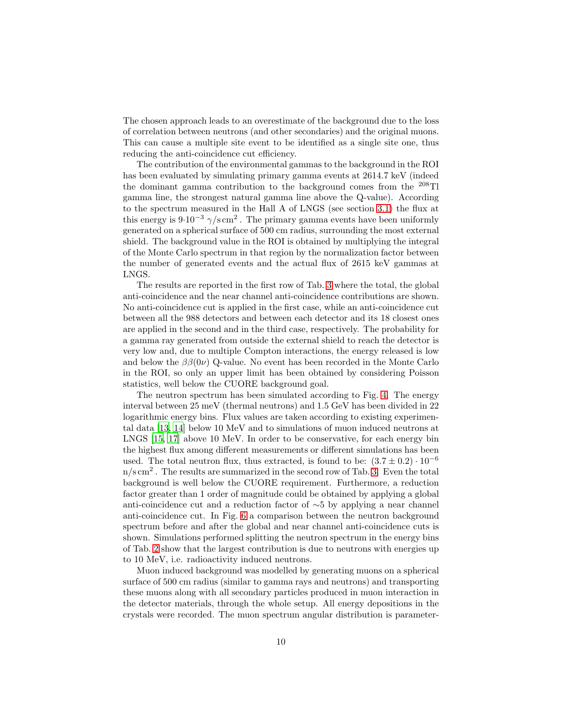The chosen approach leads to an overestimate of the background due to the loss of correlation between neutrons (and other secondaries) and the original muons. This can cause a multiple site event to be identified as a single site one, thus reducing the anti-coincidence cut efficiency.

The contribution of the environmental gammas to the background in the ROI has been evaluated by simulating primary gamma events at 2614.7 keV (indeed the dominant gamma contribution to the background comes from the <sup>208</sup>Tl gamma line, the strongest natural gamma line above the Q-value). According to the spectrum measured in the Hall A of LNGS (see section [3.1\)](#page-4-1) the flux at this energy is  $9.10^{-3} \gamma/\text{s cm}^2$ . The primary gamma events have been uniformly generated on a spherical surface of 500 cm radius, surrounding the most external shield. The background value in the ROI is obtained by multiplying the integral of the Monte Carlo spectrum in that region by the normalization factor between the number of generated events and the actual flux of 2615 keV gammas at LNGS.

The results are reported in the first row of Tab. [3](#page-12-0) where the total, the global anti-coincidence and the near channel anti-coincidence contributions are shown. No anti-coincidence cut is applied in the first case, while an anti-coincidence cut between all the 988 detectors and between each detector and its 18 closest ones are applied in the second and in the third case, respectively. The probability for a gamma ray generated from outside the external shield to reach the detector is very low and, due to multiple Compton interactions, the energy released is low and below the  $\beta\beta(0\nu)$  Q-value. No event has been recorded in the Monte Carlo in the ROI, so only an upper limit has been obtained by considering Poisson statistics, well below the CUORE background goal.

The neutron spectrum has been simulated according to Fig. [4.](#page-10-0) The energy interval between 25 meV (thermal neutrons) and 1.5 GeV has been divided in 22 logarithmic energy bins. Flux values are taken according to existing experimental data [\[13,](#page-14-12) [14](#page-14-13)] below 10 MeV and to simulations of muon induced neutrons at LNGS [\[15](#page-14-14), [17](#page-14-16)] above 10 MeV. In order to be conservative, for each energy bin the highest flux among different measurements or different simulations has been used. The total neutron flux, thus extracted, is found to be:  $(3.7 \pm 0.2) \cdot 10^{-6}$  $n/s \, \text{cm}^2$ . The results are summarized in the second row of Tab. [3.](#page-12-0) Even the total background is well below the CUORE requirement. Furthermore, a reduction factor greater than 1 order of magnitude could be obtained by applying a global anti-coincidence cut and a reduction factor of ∼5 by applying a near channel anti-coincidence cut. In Fig. [6](#page-12-1) a comparison between the neutron background spectrum before and after the global and near channel anti-coincidence cuts is shown. Simulations performed splitting the neutron spectrum in the energy bins of Tab. [2](#page-6-0) show that the largest contribution is due to neutrons with energies up to 10 MeV, i.e. radioactivity induced neutrons.

Muon induced background was modelled by generating muons on a spherical surface of 500 cm radius (similar to gamma rays and neutrons) and transporting these muons along with all secondary particles produced in muon interaction in the detector materials, through the whole setup. All energy depositions in the crystals were recorded. The muon spectrum angular distribution is parameter-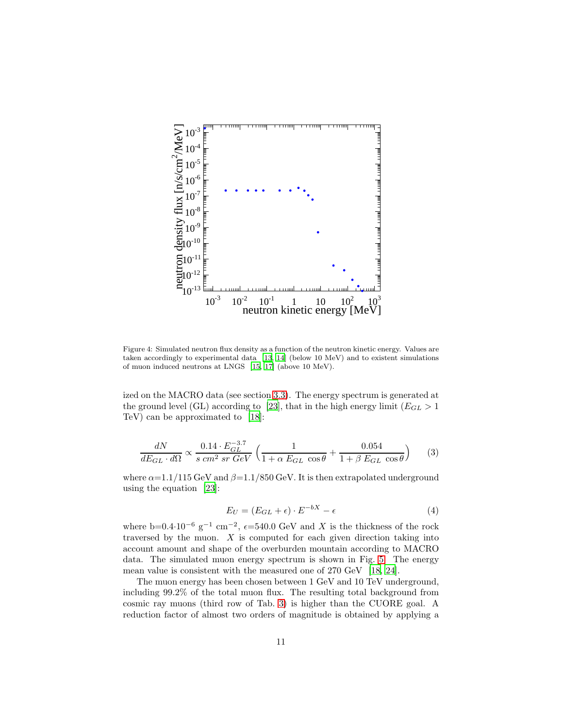

<span id="page-10-0"></span>Figure 4: Simulated neutron flux density as a function of the neutron kinetic energy. Values are taken accordingly to experimental data [\[13,](#page-14-12) [14](#page-14-13)] (below 10 MeV) and to existent simulations of muon induced neutrons at LNGS [\[15,](#page-14-14) [17\]](#page-14-16) (above 10 MeV).

ized on the MACRO data (see section [3.3\)](#page-6-1). The energy spectrum is generated at the ground level (GL) according to [\[23](#page-14-22)], that in the high energy limit ( $E_{GL} > 1$ TeV) can be approximated to [\[18](#page-14-17)]:

$$
\frac{dN}{dE_{GL} \cdot d\Omega} \propto \frac{0.14 \cdot E_{GL}^{-3.7}}{s \, cm^2 \, sr \, GeV} \left( \frac{1}{1 + \alpha \, E_{GL} \, \cos \theta} + \frac{0.054}{1 + \beta \, E_{GL} \, \cos \theta} \right) \tag{3}
$$

where  $\alpha = 1.1/115$  GeV and  $\beta = 1.1/850$  GeV. It is then extrapolated underground using the equation [\[23\]](#page-14-22):

$$
E_U = (E_{GL} + \epsilon) \cdot E^{-bX} - \epsilon \tag{4}
$$

where b=0.4⋅10<sup>-6</sup> g<sup>-1</sup> cm<sup>-2</sup>,  $\epsilon$ =540.0 GeV and X is the thickness of the rock traversed by the muon.  $X$  is computed for each given direction taking into account amount and shape of the overburden mountain according to MACRO data. The simulated muon energy spectrum is shown in Fig. [5.](#page-11-0) The energy mean value is consistent with the measured one of 270 GeV [\[18,](#page-14-17) [24\]](#page-14-23).

The muon energy has been chosen between 1 GeV and 10 TeV underground, including 99.2% of the total muon flux. The resulting total background from cosmic ray muons (third row of Tab. [3\)](#page-12-0) is higher than the CUORE goal. A reduction factor of almost two orders of magnitude is obtained by applying a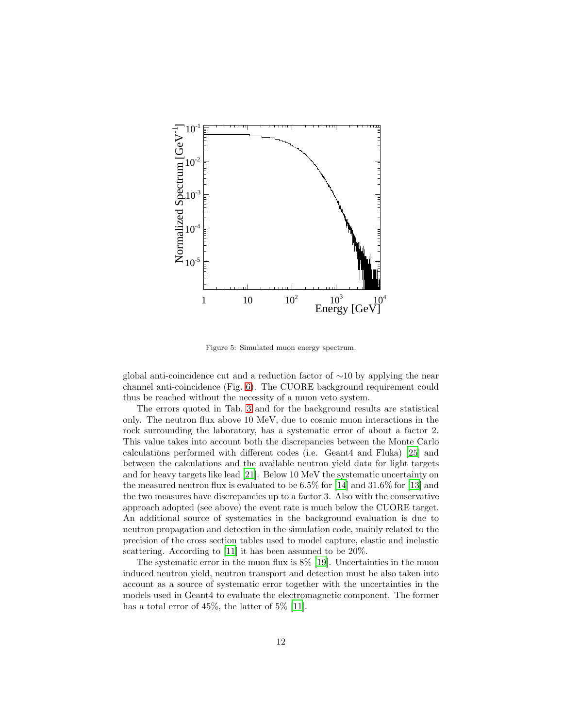

<span id="page-11-0"></span>Figure 5: Simulated muon energy spectrum.

global anti-coincidence cut and a reduction factor of ∼10 by applying the near channel anti-coincidence (Fig. [6\)](#page-12-1). The CUORE background requirement could thus be reached without the necessity of a muon veto system.

The errors quoted in Tab. [3](#page-12-0) and for the background results are statistical only. The neutron flux above 10 MeV, due to cosmic muon interactions in the rock surrounding the laboratory, has a systematic error of about a factor 2. This value takes into account both the discrepancies between the Monte Carlo calculations performed with different codes (i.e. Geant4 and Fluka) [\[25\]](#page-14-24) and between the calculations and the available neutron yield data for light targets and for heavy targets like lead [\[21\]](#page-14-20). Below 10 MeV the systematic uncertainty on the measured neutron flux is evaluated to be 6.5% for [\[14\]](#page-14-13) and 31.6% for [\[13](#page-14-12)] and the two measures have discrepancies up to a factor 3. Also with the conservative approach adopted (see above) the event rate is much below the CUORE target. An additional source of systematics in the background evaluation is due to neutron propagation and detection in the simulation code, mainly related to the precision of the cross section tables used to model capture, elastic and inelastic scattering. According to [\[11\]](#page-14-10) it has been assumed to be 20%.

The systematic error in the muon flux is  $8\%$  [\[19\]](#page-14-18). Uncertainties in the muon induced neutron yield, neutron transport and detection must be also taken into account as a source of systematic error together with the uncertainties in the models used in Geant4 to evaluate the electromagnetic component. The former has a total error of 45%, the latter of 5% [\[11\]](#page-14-10).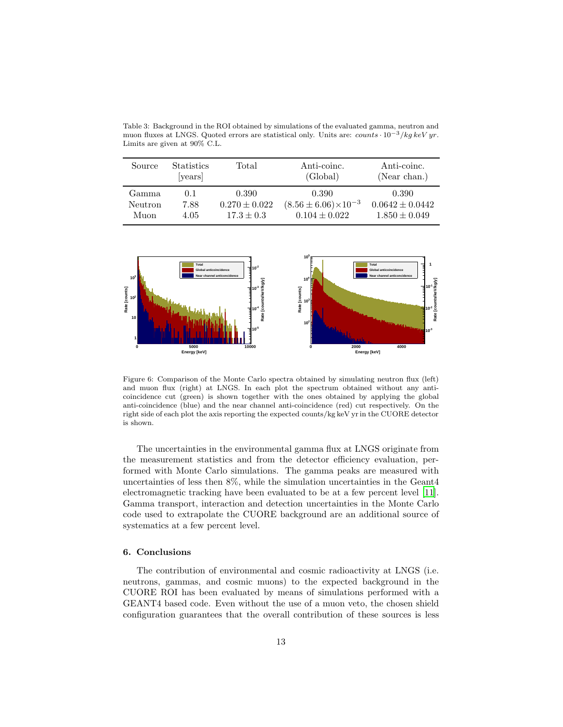<span id="page-12-0"></span>muon fluxes at LNGS. Quoted errors are statistical only. Units are: counts  $\cdot 10^{-3}$ /kg keV yr. Limits are given at 90% C.L.

Table 3: Background in the ROI obtained by simulations of the evaluated gamma, neutron and

| Source  | <b>Statistics</b><br>[years] | Total             | Anti-coinc.<br>(Global)          | Anti-coinc.<br>(Near chan.) |
|---------|------------------------------|-------------------|----------------------------------|-----------------------------|
| Gamma   | 0.1                          | 0.390             | 0.390                            | 0.390                       |
| Neutron | 7.88                         | $0.270 \pm 0.022$ | $(8.56 \pm 6.06) \times 10^{-3}$ | $0.0642 \pm 0.0442$         |
| Muon    | 4.05                         | $17.3 \pm 0.3$    | $0.104 \pm 0.022$                | $1.850 \pm 0.049$           |



<span id="page-12-1"></span>Figure 6: Comparison of the Monte Carlo spectra obtained by simulating neutron flux (left) and muon flux (right) at LNGS. In each plot the spectrum obtained without any anticoincidence cut (green) is shown together with the ones obtained by applying the global anti-coincidence (blue) and the near channel anti-coincidence (red) cut respectively. On the right side of each plot the axis reporting the expected counts/kg keV yr in the CUORE detector is shown.

The uncertainties in the environmental gamma flux at LNGS originate from the measurement statistics and from the detector efficiency evaluation, performed with Monte Carlo simulations. The gamma peaks are measured with uncertainties of less then 8%, while the simulation uncertainties in the Geant4 electromagnetic tracking have been evaluated to be at a few percent level [\[11\]](#page-14-10). Gamma transport, interaction and detection uncertainties in the Monte Carlo code used to extrapolate the CUORE background are an additional source of systematics at a few percent level.

#### 6. Conclusions

The contribution of environmental and cosmic radioactivity at LNGS (i.e. neutrons, gammas, and cosmic muons) to the expected background in the CUORE ROI has been evaluated by means of simulations performed with a GEANT4 based code. Even without the use of a muon veto, the chosen shield configuration guarantees that the overall contribution of these sources is less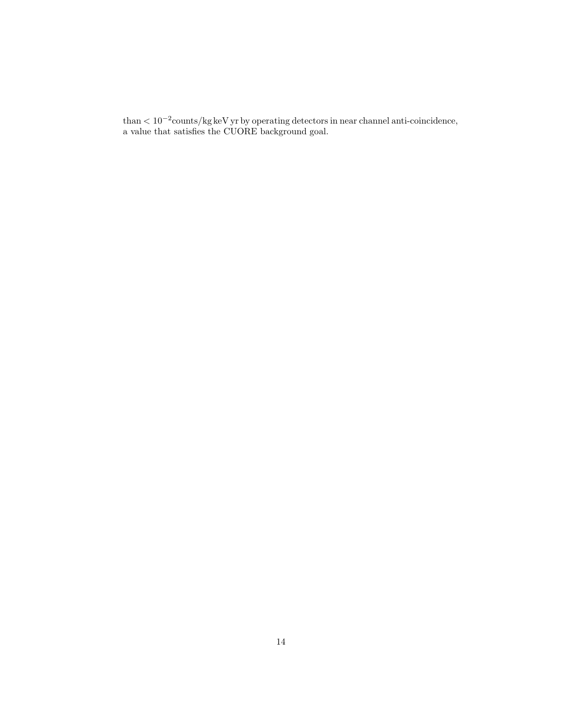than < 10−<sup>2</sup> counts/kg keV yr by operating detectors in near channel anti-coincidence, a value that satisfies the CUORE background goal.